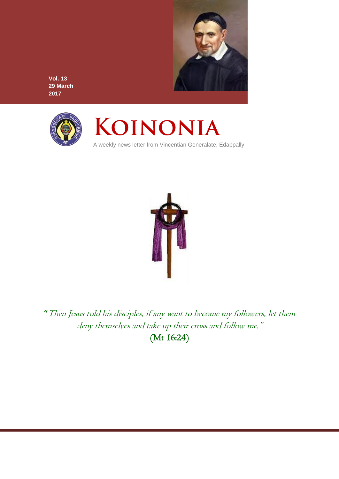

**Vol. 13 29 March 2017**



# KOINONIA

A weekly news letter from Vincentian Generalate, Edappally



"Then Jesus told his disciples, if any want to become my followers, let them deny themselves and take up their cross and follow me." (Mt 16:24)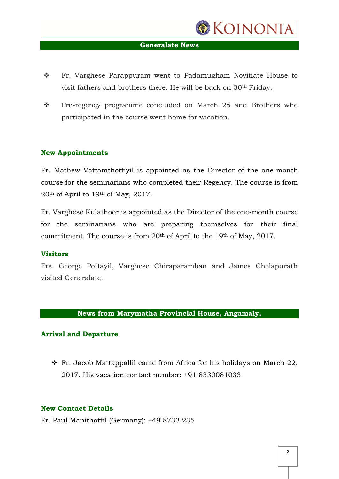

## **Generalate News**

- \* Fr. Varghese Parappuram went to Padamugham Novitiate House to visit fathers and brothers there. He will be back on 30th Friday.
- \* Pre-regency programme concluded on March 25 and Brothers who participated in the course went home for vacation.

## **New Appointments**

Fr. Mathew Vattamthottiyil is appointed as the Director of the one-month course for the seminarians who completed their Regency. The course is from 20th of April to 19th of May, 2017.

Fr. Varghese Kulathoor is appointed as the Director of the one-month course for the seminarians who are preparing themselves for their final commitment. The course is from 20th of April to the 19th of May, 2017.

## **Visitors**

Frs. George Pottayil, Varghese Chiraparamban and James Chelapurath visited Generalate.

## **News from Marymatha Provincial House, Angamaly.**

## **Arrival and Departure**

 $\cdot$  Fr. Jacob Mattappallil came from Africa for his holidays on March 22, 2017. His vacation contact number: +91 8330081033

## **New Contact Details**

Fr. Paul Manithottil (Germany): +49 8733 235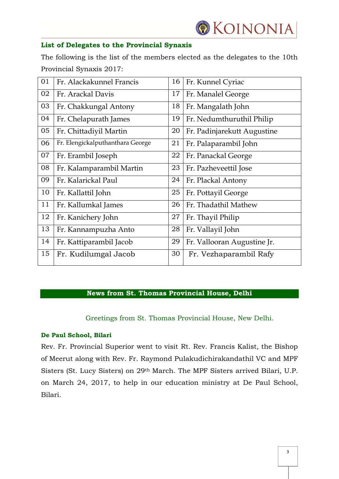

## **List of Delegates to the Provincial Synaxis**

The following is the list of the members elected as the delegates to the 10th Provincial Synaxis 2017:

| 01 | Fr. Alackakunnel Francis         | 16 | Fr. Kunnel Cyriac           |
|----|----------------------------------|----|-----------------------------|
| 02 | Fr. Arackal Davis                | 17 | Fr. Manalel George          |
| 03 | Fr. Chakkungal Antony            | 18 | Fr. Mangalath John          |
| 04 | Fr. Chelapurath James            | 19 | Fr. Nedumthuruthil Philip   |
| 05 | Fr. Chittadiyil Martin           | 20 | Fr. Padinjarekutt Augustine |
| 06 | Fr. Elengickalputhanthara George | 21 | Fr. Palaparambil John       |
| 07 | Fr. Erambil Joseph               | 22 | Fr. Panackal George         |
| 08 | Fr. Kalamparambil Martin         | 23 | Fr. Pazheveettil Jose       |
| 09 | Fr. Kalarickal Paul              | 24 | Fr. Plackal Antony          |
| 10 | Fr. Kallattil John               | 25 | Fr. Pottayil George         |
| 11 | Fr. Kallumkal James              | 26 | Fr. Thadathil Mathew        |
| 12 | Fr. Kanichery John               | 27 | Fr. Thayil Philip           |
| 13 | Fr. Kannampuzha Anto             | 28 | Fr. Vallayil John           |
| 14 | Fr. Kattiparambil Jacob          | 29 | Fr. Vallooran Augustine Jr. |
| 15 | Fr. Kudilumgal Jacob             | 30 | Fr. Vezhaparambil Rafy      |

## **News from St. Thomas Provincial House, Delhi**

Greetings from St. Thomas Provincial House, New Delhi.

## **De Paul School, Bilari**

Rev. Fr. Provincial Superior went to visit Rt. Rev. Francis Kalist, the Bishop of Meerut along with Rev. Fr. Raymond Pulakudichirakandathil VC and MPF Sisters (St. Lucy Sisters) on 29th March. The MPF Sisters arrived Bilari, U.P. on March 24, 2017, to help in our education ministry at De Paul School, Bilari.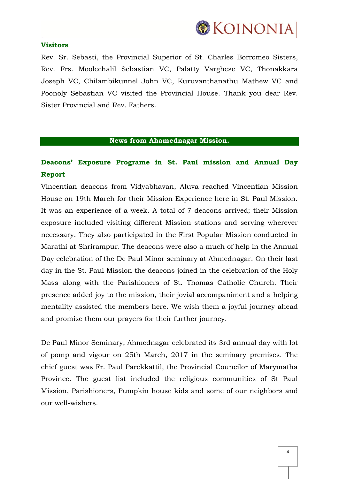

## **Visitors**

Rev. Sr. Sebasti, the Provincial Superior of St. Charles Borromeo Sisters, Rev. Frs. Moolechalil Sebastian VC, Palatty Varghese VC, Thonakkara Joseph VC, Chilambikunnel John VC, Kuruvanthanathu Mathew VC and Poonoly Sebastian VC visited the Provincial House. Thank you dear Rev. Sister Provincial and Rev. Fathers.

## **News from Ahamednagar Mission.**

# **Deacons' Exposure Programe in St. Paul mission and Annual Day Report**

Vincentian deacons from Vidyabhavan, Aluva reached Vincentian Mission House on 19th March for their Mission Experience here in St. Paul Mission. It was an experience of a week. A total of 7 deacons arrived; their Mission exposure included visiting different Mission stations and serving wherever necessary. They also participated in the First Popular Mission conducted in Marathi at Shrirampur. The deacons were also a much of help in the Annual Day celebration of the De Paul Minor seminary at Ahmednagar. On their last day in the St. Paul Mission the deacons joined in the celebration of the Holy Mass along with the Parishioners of St. Thomas Catholic Church. Their presence added joy to the mission, their jovial accompaniment and a helping mentality assisted the members here. We wish them a joyful journey ahead and promise them our prayers for their further journey.

De Paul Minor Seminary, Ahmednagar celebrated its 3rd annual day with lot of pomp and vigour on 25th March, 2017 in the seminary premises. The chief guest was Fr. Paul Parekkattil, the Provincial Councilor of Marymatha Province. The guest list included the religious communities of St Paul Mission, Parishioners, Pumpkin house kids and some of our neighbors and our well-wishers.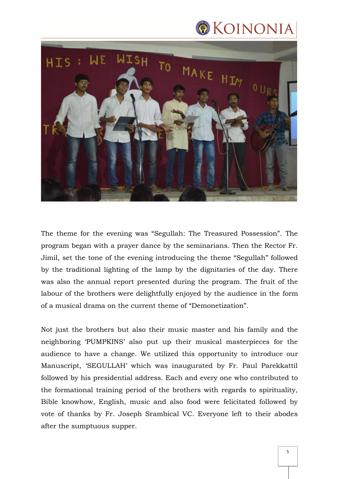



The theme for the evening was "Segullah: The Treasured Possession". The program began with a prayer dance by the seminarians. Then the Rector Fr. Jimil, set the tone of the evening introducing the theme "Segullah" followed by the traditional lighting of the lamp by the dignitaries of the day. There was also the annual report presented during the program. The fruit of the labour of the brothers were delightfully enjoyed by the audience in the form of a musical drama on the current theme of "Demonetization".

Not just the brothers but also their music master and his family and the neighboring "PUMPKINS" also put up their musical masterpieces for the audience to have a change. We utilized this opportunity to introduce our Manuscript, "SEGULLAH" which was inaugurated by Fr. Paul Parekkattil followed by his presidential address. Each and every one who contributed to the formational training period of the brothers with regards to spirituality, Bible knowhow, English, music and also food were felicitated followed by vote of thanks by Fr. Joseph Srambical VC. Everyone left to their abodes after the sumptuous supper.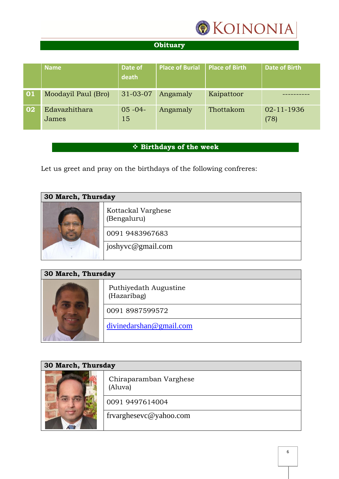

# **Obituary**

|    | <b>Name</b>            | Date of<br>death  | <b>Place of Burial</b> | <b>Place of Birth</b> | <b>Date of Birth</b> |
|----|------------------------|-------------------|------------------------|-----------------------|----------------------|
| 01 | Moodayil Paul (Bro)    | 31-03-07          | Angamaly               | Kaipattoor            |                      |
| 02 | Edavazhithara<br>James | $05 - 04 -$<br>15 | Angamaly               | Thottakom             | 02-11-1936<br>(78)   |

## **Birthdays of the week**

Let us greet and pray on the birthdays of the following confreres:

| <b>30 March, Thursday</b> |                                   |  |
|---------------------------|-----------------------------------|--|
|                           | Kottackal Varghese<br>(Bengaluru) |  |
|                           | 0091 9483967683                   |  |
|                           | joshyvc@gmail.com                 |  |
|                           |                                   |  |

| <b>30 March, Thursday</b> |                                      |  |
|---------------------------|--------------------------------------|--|
|                           | Puthiyedath Augustine<br>(Hazaribag) |  |
|                           | 0091 8987599572                      |  |
|                           | divinedarshan@gmail.com              |  |

| <b>30 March, Thursday</b> |                                   |  |
|---------------------------|-----------------------------------|--|
|                           | Chiraparamban Varghese<br>(Aluva) |  |
|                           | 0091 9497614004                   |  |
|                           | frvarghesevc@yahoo.com            |  |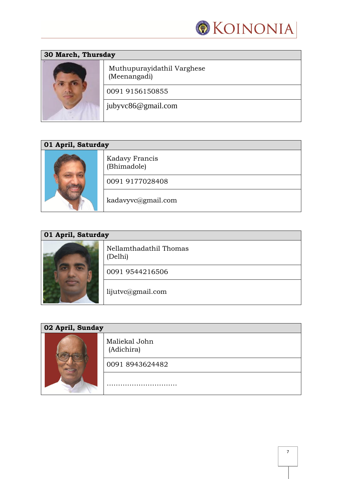

| <b>30 March, Thursday</b> |                                            |  |
|---------------------------|--------------------------------------------|--|
|                           | Muthupurayidathil Varghese<br>(Meenangadi) |  |
|                           | 0091 9156150855                            |  |
|                           | jubyvc86@gmail.com                         |  |
|                           |                                            |  |

| 01 April, Saturday |                               |  |
|--------------------|-------------------------------|--|
|                    | Kadavy Francis<br>(Bhimadole) |  |
|                    | 0091 9177028408               |  |
|                    | kadavyvc@gmail.com            |  |

| 01 April, Saturday |                                   |  |
|--------------------|-----------------------------------|--|
|                    | Nellamthadathil Thomas<br>(Delhi) |  |
|                    | 0091 9544216506                   |  |
|                    | lijutvc@gmail.com                 |  |

| 02 April, Sunday |                             |  |
|------------------|-----------------------------|--|
|                  | Maliekal John<br>(Adichira) |  |
|                  | 0091 8943624482             |  |
|                  | .                           |  |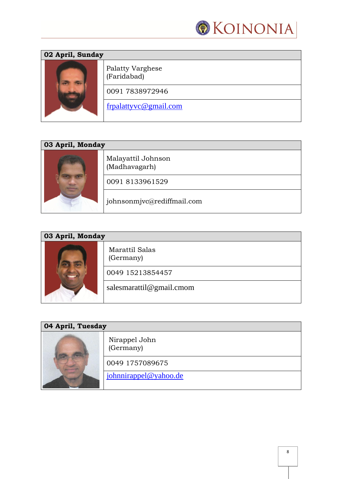

| 02 April, Sunday |                                        |  |
|------------------|----------------------------------------|--|
|                  | <b>Palatty Varghese</b><br>(Faridabad) |  |
|                  | 0091 7838972946                        |  |
|                  | frpalattyvc@gmail.com                  |  |

| 03 April, Monday |                                     |  |
|------------------|-------------------------------------|--|
|                  | Malayattil Johnson<br>(Madhavagarh) |  |
|                  | 0091 8133961529                     |  |
|                  | johnsonmjvc@rediffmail.com          |  |

| 03 April, Monday |                             |  |
|------------------|-----------------------------|--|
|                  | Marattil Salas<br>(Germany) |  |
|                  | 0049 15213854457            |  |
|                  | salesmarattil@gmail.cmom    |  |

| 04 April, Tuesday |                            |
|-------------------|----------------------------|
|                   | Nirappel John<br>(Germany) |
|                   | 0049 1757089675            |
|                   | johnnirappel@yahoo.de      |